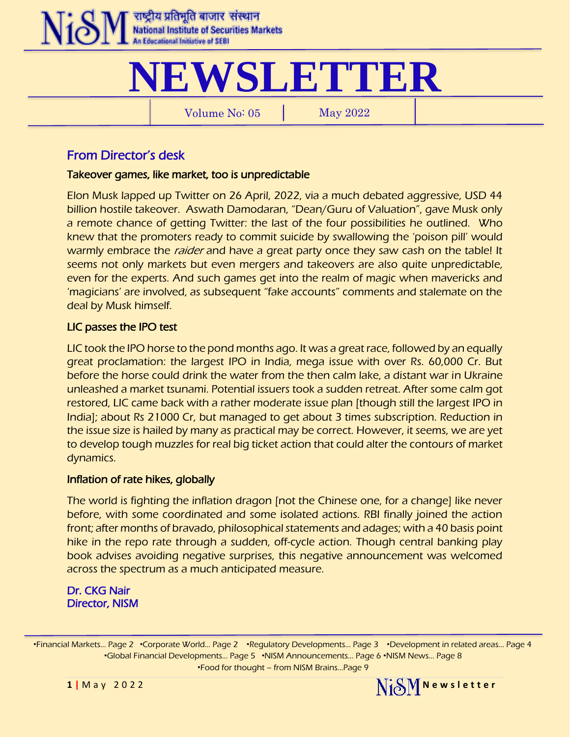

# **NEWSLETTER**

Volume No: 05 May 2022

From Director's desk

## Takeover games, like market, too is unpredictable

Elon Musk lapped up Twitter on 26 April, 2022, via a much debated aggressive, USD 44 billion hostile takeover. Aswath Damodaran, "Dean/Guru of Valuation", gave Musk only a remote chance of getting Twitter: the last of the four possibilities he outlined. Who knew that the promoters ready to commit suicide by swallowing the 'poison pill' would warmly embrace the *raider* and have a great party once they saw cash on the table! It seems not only markets but even mergers and takeovers are also quite unpredictable, even for the experts. And such games get into the realm of magic when mavericks and 'magicians' are involved, as subsequent "fake accounts" comments and stalemate on the deal by Musk himself.

# LIC passes the IPO test

LIC took the IPO horse to the pond months ago. It was a great race, followed by an equally great proclamation: the largest IPO in India, mega issue with over Rs. 60,000 Cr. But before the horse could drink the water from the then calm lake, a distant war in Ukraine unleashed a market tsunami. Potential issuers took a sudden retreat. After some calm got restored, LIC came back with a rather moderate issue plan [though still the largest IPO in India]; about Rs 21000 Cr, but managed to get about 3 times subscription. Reduction in the issue size is hailed by many as practical may be correct. However, it seems, we are yet to develop tough muzzles for real big ticket action that could alter the contours of market dynamics.

## Inflation of rate hikes, globally

The world is fighting the inflation dragon [not the Chinese one, for a change] like never before, with some coordinated and some isolated actions. RBI finally joined the action front; after months of bravado, philosophical statements and adages; with a 40 basis point hike in the repo rate through a sudden, off-cycle action. Though central banking play book advises avoiding negative surprises, this negative announcement was welcomed across the spectrum as a much anticipated measure.

Dr. CKG Nair Director, NISM

∙Financial Markets… Page 2 ∙Corporate World… Page 2 ∙Regulatory Developments… Page 3 ∙Development in related areas… Page 4 ∙Global Financial Developments… Page 5 ∙NISM Announcements… Page 6 ∙NISM News… Page 8 ∙Food for thought – from NISM Brains…Page 9



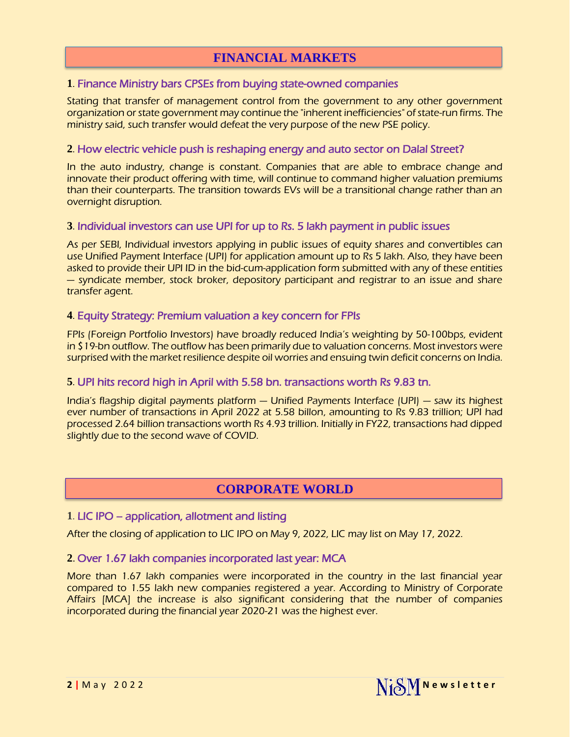# **FINANCIAL MARKETS**

#### **1**. [Finance Ministry bars CPSEs from buying state-owned companies](https://economictimes.indiatimes.com/news/economy/policy/finmin-bars-cpses-from-buying-state-owned-companies/articleshow/90988412.cms)

Stating that transfer of management control from the government to any other government organization or state government may continue the "inherent inefficiencies" of state-run firms. The ministry said, such transfer would defeat the very purpose of the new PSE policy.

#### **2**. [How electric vehicle push is reshaping energy and auto sector on Dalal Street?](https://www.financialexpress.com/market/cafeinvest/how-electric-vehicle-push-is-reshaping-energy-and-auto-sector-on-dalal-street/2504026/)

In the auto industry, change is constant. Companies that are able to embrace change and innovate their product offering with time, will continue to command higher valuation premiums than their counterparts. The transition towards EVs will be a transitional change rather than an overnight disruption.

#### **3**. [Individual investors can use UPI for up to Rs. 5 lakh payment in public issues](https://www.financialexpress.com/market/individual-investors-can-use-upi-for-up-to-rs-5-lakh-payment-in-public-issues/2482573/)

As per SEBI, Individual investors applying in public issues of equity shares and convertibles can use Unified Payment Interface (UPI) for application amount up to Rs 5 lakh. Also, they have been asked to provide their UPI ID in the bid-cum-application form submitted with any of these entities — syndicate member, stock broker, depository participant and registrar to an issue and share transfer agent.

#### **4**. [Equity Strategy: Premium valuation a key concern for FPIs](https://www.financialexpress.com/market/equity-strategy-premium-valuation-a-key-concern-for-fpis/2501900/)

FPIs (Foreign Portfolio Investors) have broadly reduced India's weighting by 50-100bps, evident in \$19-bn outflow. The outflow has been primarily due to valuation concerns. Most investors were surprised with the market resilience despite oil worries and ensuing twin deficit concerns on India.

#### **5**. [UPI hits record high in April with 5.58 bn. transactions worth Rs 9.83 tn.](https://www.business-standard.com/article/finance/upi-hits-record-high-in-april-with-5-58-bn-transactions-worth-rs-9-83-trn-122050100480_1.html#:~:text=India)

India's flagship digital payments platform — Unified Payments Interface (UPI) — saw its highest ever number of transactions in April 2022 at 5.58 billon, amounting to Rs 9.83 trillion; UPI had processed 2.64 billion transactions worth Rs 4.93 trillion. Initially in FY22, transactions had dipped slightly due to the second wave of COVID.

# **CORPORATE WORLD**

#### **1**. LIC IPO – [application, allotment and listing](https://www.moneycontrol.com/news/business/ipo/lic-ipo-share-allotment-expected-today-here-is-how-to-check-status-online-8491671.html)

After the closing of application to LIC IPO on May 9, 2022, LIC may list on May 17, 2022.

#### **2**. [Over 1.67 lakh companies incorporated last year: MCA](https://economictimes.indiatimes.com/news/company/corporate-trends/over-1-67-lakh-companies-incorporated-last-year-mca/articleshow/90917329.cms?from=mdr)

More than 1.67 lakh companies were incorporated in the country in the last financial year compared to 1.55 lakh new companies registered a year. According to Ministry of Corporate Affairs [MCA] the increase is also significant considering that the number of companies incorporated during the financial year 2020-21 was the highest ever.

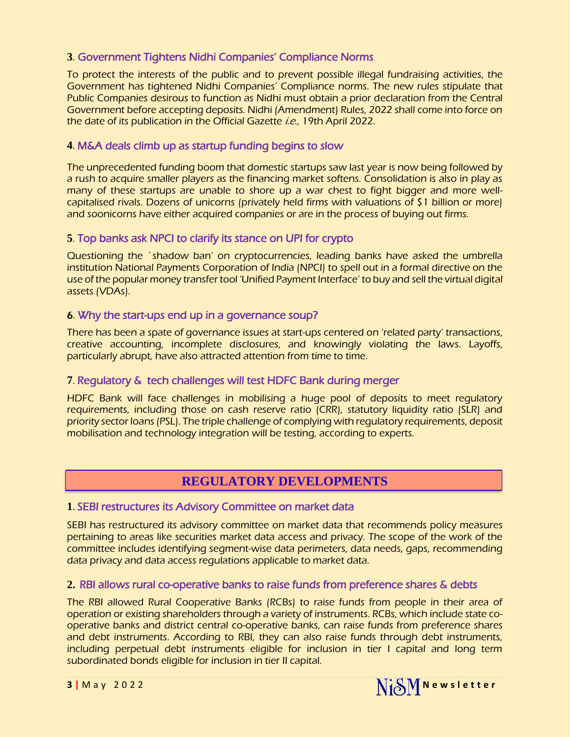## **3**. [Government Tightens Nidhi Companies' Compliance Norms](https://www.indiafilings.com/learn/government-tightens-nidhi-companies-compliance-norms/)

To protect the interests of the public and to prevent possible illegal fundraising activities, the Government has tightened Nidhi Companies' Compliance norms. The new rules stipulate that Public Companies desirous to function as Nidhi must obtain a prior declaration from the Central Government before accepting deposits. Nidhi (Amendment) Rules, 2022 shall come into force on the date of its publication in the Official Gazette *i.e.*, 19th April 2022.

## **4**. [M&A deals climb up as startup funding begins to slow](https://economictimes.indiatimes.com/tech/startups/startup-ma-deals-climb-up-amid-slowdown-in-funding/articleshow/90626951.cms)

The unprecedented funding boom that domestic startups saw last year is now being followed by a rush to acquire smaller players as the financing market softens. Consolidation is also in play as many of these startups are unable to shore up a war chest to fight bigger and more wellcapitalised rivals. Dozens of unicorns (privately held firms with valuations of \$1 billion or more) and soonicorns have either acquired companies or are in the process of buying out firms.

#### **5**. [Top banks ask NPCI to clarify its stance on UPI for crypto](https://economictimes.indiatimes.com/tech/ettech-briefs/top-banks-ask-npci-to-clarify-its-stance-on-upi-for-crypto/articleshow/91056111.cms)

Questioning the `shadow ban' on cryptocurrencies, leading banks have asked the umbrella institution National Payments Corporation of India (NPCI) to spell out in a formal directive on the use of the popular money transfer tool 'Unified Payment Interface' to buy and sell the virtual digital assets (VDAs).

#### 6. [Why the start-ups end up in a governance soup?](https://www.pehalnews.in/why-startups-end-up-in-the-governance-soup/1910560/)

There has been a spate of governance issues at start-ups centered on 'related party' transactions, creative accounting, incomplete disclosures, and knowingly violating the laws. Layoffs, particularly abrupt, have also attracted attention from time to time.

#### **7**. [Regulatory & tech challenges will test HDFC Bank during merger](https://www.moneycontrol.com/news/business/regulatory-tech-challenges-will-test-hdfc-banks-top-brass-during-merger-say-experts-8389821.html)

HDFC Bank will face challenges in mobilising a huge pool of deposits to meet regulatory requirements, including those on cash reserve ratio (CRR), statutory liquidity ratio (SLR) and priority sector loans (PSL). The triple challenge of complying with regulatory requirements, deposit mobilisation and technology integration will be testing, according to experts.

# **REGULATORY DEVELOPMENTS**

#### **1**. [SEBI restructures its Advisory Committee on market data](https://www.sebi.gov.in/sebiweb/about/AboutAction.do?doMember=yes&committeesId=62)

SEBI has restructured its advisory committee on market data that recommends policy measures pertaining to areas like securities market data access and privacy. The scope of the work of the committee includes identifying segment-wise data perimeters, data needs, gaps, recommending data privacy and data access regulations applicable to market data.

#### **2.** [RBI allows rural co-operative banks to raise funds from preference shares & debts](https://www.financialexpress.com/industry/banking-finance/rbi-allows-rural-co-operative-banks-to-raise-funds-from-preference-shares-debt-instruments/2497007/)

The RBI allowed Rural Cooperative Banks (RCBs) to raise funds from people in their area of operation or existing shareholders through a variety of instruments. RCBs, which include state cooperative banks and district central co-operative banks, can raise funds from preference shares and debt instruments. According to RBI, they can also raise funds through debt instruments, including perpetual debt instruments eligible for inclusion in tier I capital and long term subordinated bonds eligible for inclusion in tier II capital.

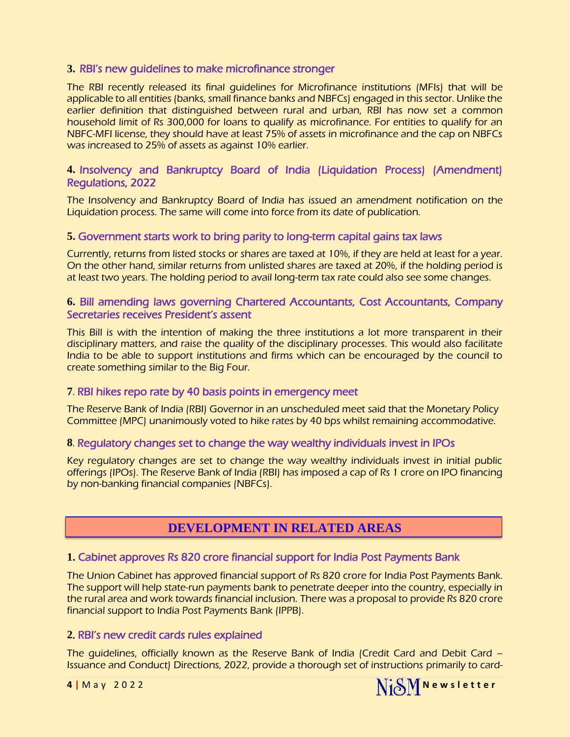#### **3.** [RBI's new guidelines to make microfinance stronger](https://vnexplorer.net/rbis-new-guidelines-to-make-microfinance-stronger-ey20226196681.html)

The RBI recently released its final guidelines for Microfinance institutions (MFIs) that will be applicable to all entities (banks, small finance banks and NBFCs) engaged in this sector. Unlike the earlier definition that distinguished between rural and urban, RBI has now set a common household limit of Rs 300,000 for loans to qualify as microfinance. For entities to qualify for an NBFC-MFI license, they should have at least 75% of assets in microfinance and the cap on NBFCs was increased to 25% of assets as against 10% earlier.

#### **4.** [Insolvency and Bankruptcy Board of India \(Liquidation Process\) \(Amendment\)](https://egazette.nic.in/WriteReadData/2022/235410.pdf)  [Regulations, 2022](https://egazette.nic.in/WriteReadData/2022/235410.pdf)

The Insolvency and Bankruptcy Board of India has issued an amendment notification on the Liquidation process. The same will come into force from its date of publication.

#### **5.** [Government starts work to bring parity to long-term capital gains tax laws](https://economictimes.indiatimes.com/news/economy/policy/govt-starts-work-to-bring-parity-to-long-term-capital-gains-tax-laws/articleshow/91083096.cms)

Currently, returns from listed stocks or shares are taxed at 10%, if they are held at least for a year. On the other hand, similar returns from unlisted shares are taxed at 20%, if the holding period is at least two years. The holding period to avail long-term tax rate could also see some changes.

#### **6.** [Bill amending laws governing Chartered Accountants, Cost Accountants, Company](https://economictimes.indiatimes.com/news/india/bill-amending-laws-governing-cas-cost-accountants-company-secretaries-receives-presidents-assent/articleshow/90934196.cms)  [Secretaries receives](https://economictimes.indiatimes.com/news/india/bill-amending-laws-governing-cas-cost-accountants-company-secretaries-receives-presidents-assent/articleshow/90934196.cms) President's assent

This Bill is with the intention of making the three institutions a lot more transparent in their disciplinary matters, and raise the quality of the disciplinary processes. This would also facilitate India to be able to support institutions and firms which can be encouraged by the council to create something similar to the Big Four.

#### **7**. [RBI hikes repo rate by 40 basis points in emergency meet](https://economictimes.indiatimes.com/news/economy/policy/rbi-governor-announces-rate-hike-of-40-bps/articleshow/91310867.cms)

The Reserve Bank of India (RBI) Governor in an unscheduled meet said that the Monetary Policy Committee (MPC) unanimously voted to hike rates by 40 bps whilst remaining accommodative.

#### **8**. [Regulatory changes set to change the way wealthy individuals invest in IPOs](https://www.business-standard.com/article/markets/regulatory-changes-set-to-change-the-way-wealthy-individuals-invest-in-ipos-122042200044_1.html)

Key regulatory changes are set to change the way wealthy individuals invest in initial public offerings (IPOs). The Reserve Bank of India (RBI) has imposed a cap of Rs 1 crore on IPO financing by non-banking financial companies (NBFCs).

# **DEVELOPMENT IN RELATED AREAS**

#### **1.** [Cabinet approves Rs 820 crore financial support for India Post Payments Bank](https://www.moneycontrol.com/news/business/cabinet-approves-rs-820-crore-financial-support-for-india-post-payments-bank-8419121.html)

The Union Cabinet has approved financial support of Rs 820 crore for India Post Payments Bank. The support will help state-run payments bank to penetrate deeper into the country, especially in the rural area and work towards financial inclusion. There was a proposal to provide Rs 820 crore financial support to India Post Payments Bank (IPPB).

#### **2**. [RBI's new credit cards rules explained](https://www.thehindu.com/business/Economy/the-rbis-new-credit-cards-rules-explained/article65366366.ece)

The guidelines, officially known as the Reserve Bank of India (Credit Card and Debit Card – Issuance and Conduct) Directions, 2022, provide a thorough set of instructions primarily to card-

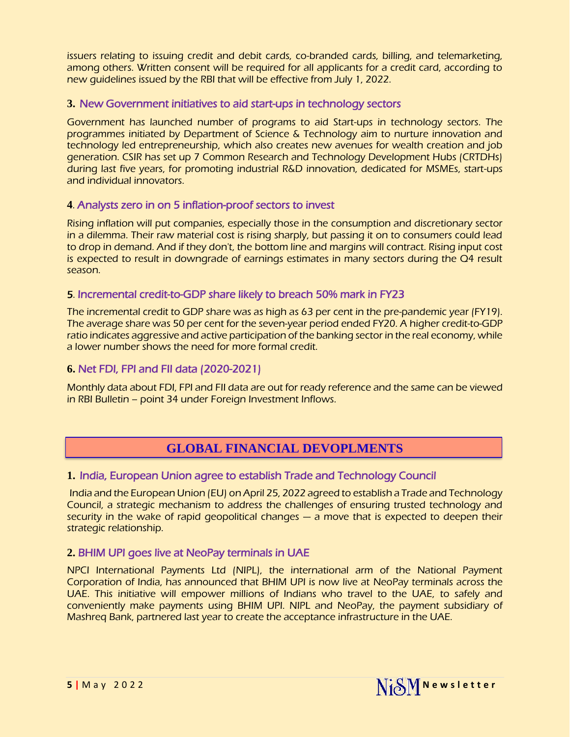issuers relating to issuing credit and debit cards, co-branded cards, billing, and telemarketing, among others. Written consent will be required for all applicants for a credit card, according to new guidelines issued by the RBI that will be effective from July 1, 2022.

#### **3.** New [Government initiatives to aid start-ups in technology sectors](https://www.devdiscourse.com/article/technology/1992792-govt-has-launched-number-of-programs-to-aid-start-ups-in-technology-sectors-dr-jitendra-singh)

Government has launched number of programs to aid Start-ups in technology sectors. The programmes initiated by Department of Science & Technology aim to nurture innovation and technology led entrepreneurship, which also creates new avenues for wealth creation and job generation. CSIR has set up 7 Common Research and Technology Development Hubs (CRTDHs) during last five years, for promoting industrial R&D innovation, dedicated for MSMEs, start-ups and individual innovators.

#### **4**. [Analysts zero in on 5 inflation-proof sectors to invest](https://economictimes.indiatimes.com/markets/stocks/news/analysts-zero-in-on-5-inflation-proof-sectors-to-invest-in/articleshow/90929787.cms)

Rising inflation will put companies, especially those in the consumption and discretionary sector in a dilemma. Their raw material cost is rising sharply, but passing it on to consumers could lead to drop in demand. And if they don't, the bottom line and margins will contract. Rising input cost is expected to result in downgrade of earnings estimates in many sectors during the Q4 result season.

#### 5. [Incremental credit-to-GDP share likely to breach 50% mark in FY23](https://economictimes.indiatimes.com/news/economy/indicators/incremental-credit-to-gdp-share-likely-to-breach-50-pc-mark-in-fy23-report/articleshow/91258202.cms)

The incremental credit to GDP share was as high as 63 per cent in the pre-pandemic year (FY19). The average share was 50 per cent for the seven-year period ended FY20. A higher credit-to-GDP ratio indicates aggressive and active participation of the banking sector in the real economy, while a lower number shows the need for more formal credit.

#### **6.** [Net FDI, FPI and FII data \(2020-2021\)](https://www.rbi.org.in/Scripts/BS_ViewBulletin.aspx?Id=20977)

Monthly data about FDI, FPI and FII data are out for ready reference and the same can be viewed in RBI Bulletin – point 34 under Foreign Investment Inflows.

# **GLOBAL FINANCIAL DEVOPLMENTS**

#### **1.** [India, European Union agree to establish Trade and Technology Council](https://www.business-standard.com/article/economy-policy/india-european-union-agreeto-establish-trade-and-technology-council-122042600065_1.html)

India and the European Union (EU) on April 25, 2022 agreed to establish a Trade and Technology Council, a strategic mechanism to address the challenges of ensuring trusted technology and security in the wake of rapid geopolitical changes — a move that is expected to deepen their strategic relationship.

#### **2.** [BHIM UPI goes live at NeoPay terminals in UAE](https://www.financialexpress.com/money/bhim-upi-goes-live-at-neopay-terminals-in-uae/2498826/)

NPCI International Payments Ltd (NIPL), the international arm of the National Payment Corporation of India, has announced that BHIM UPI is now live at NeoPay terminals across the UAE. This initiative will empower millions of Indians who travel to the UAE, to safely and conveniently make payments using BHIM UPI. NIPL and NeoPay, the payment subsidiary of Mashreq Bank, partnered last year to create the acceptance infrastructure in the UAE.

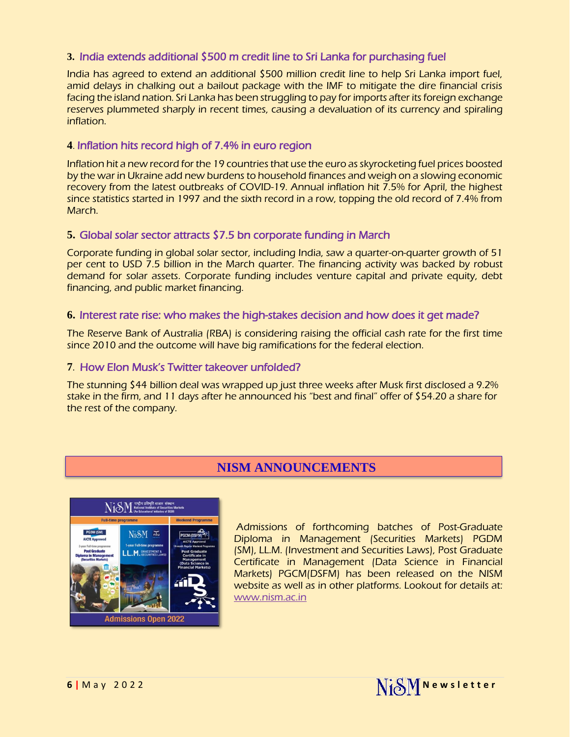## **3.** [India extends additional \\$500 m credit line to Sri Lanka for purchasing fuel](https://economictimes.indiatimes.com/news/india/india-extends-additional-500-million-credit-line-to-sri-lanka-for-purchasing-fuel/articleshow/91024342.cms)

India has agreed to extend an additional \$500 million credit line to help Sri Lanka import fuel, amid delays in chalking out a bailout package with the IMF to mitigate the dire financial crisis facing the island nation. Sri Lanka has been struggling to pay for imports after its foreign exchange reserves plummeted sharply in recent times, causing a devaluation of its currency and spiraling inflation.

## **4**. [Inflation hits record high of 7.4% in euro](https://economictimes.indiatimes.com/news/international/business/inflation-hits-record-high-of-7-4-in-countries-using-euro/articleshow/91177356.cms) region

Inflation hit a new record for the 19 countries that use the euro as skyrocketing fuel prices boosted by the war in Ukraine add new burdens to household finances and weigh on a slowing economic recovery from the latest outbreaks of COVID-19. Annual inflation hit 7.5% for April, the highest since statistics started in 1997 and the sixth record in a row, topping the old record of 7.4% from March.

#### **5.** [Global solar sector attracts \\$7.5 bn corporate funding in March](https://www.business-standard.com/article/international/global-solar-sector-attracts-7-5-bn-corporate-funding-in-march-qtr-mercom-122041901130_1.html)

Corporate funding in global solar sector, including India, saw a quarter-on-quarter growth of 51 per cent to USD 7.5 billion in the March quarter. The financing activity was backed by robust demand for solar assets. Corporate funding includes venture capital and private equity, debt financing, and public market financing.

#### **6.** [Interest rate rise: who makes the high-stakes decision and how does it get made?](https://www.theguardian.com/australia-news/2022/may/03/interest-rate-rise-who-makes-the-high-stakes-decision-and-how-does-it-get-made)

The Reserve Bank of Australia (RBA) is considering raising the official cash rate for the first time since 2010 and the outcome will have big ramifications for the federal election.

#### **7**. [How Elon Musk's Twitter takeover unfolded?](https://economictimes.indiatimes.com/tech/technology/timeline-how-elon-musks-twitter-takeover-unfolded/articleshow/91100011.cms)

The stunning \$44 billion deal was wrapped up just three weeks after Musk first disclosed a 9.2% stake in the firm, and 11 days after he announced his "best and final" offer of \$54.20 a share for the rest of the company.

# **NISM ANNOUNCEMENTS**



Admissions of forthcoming batches of Post-Graduate Diploma in Management (Securities Markets) PGDM (SM), LL.M. (Investment and Securities Laws), Post Graduate Certificate in Management (Data Science in Financial Markets) PGCM(DSFM) has been released on the NISM website as well as in other platforms. Lookout for details at: [www.nism.ac.in](http://www.nism.ac.in/)

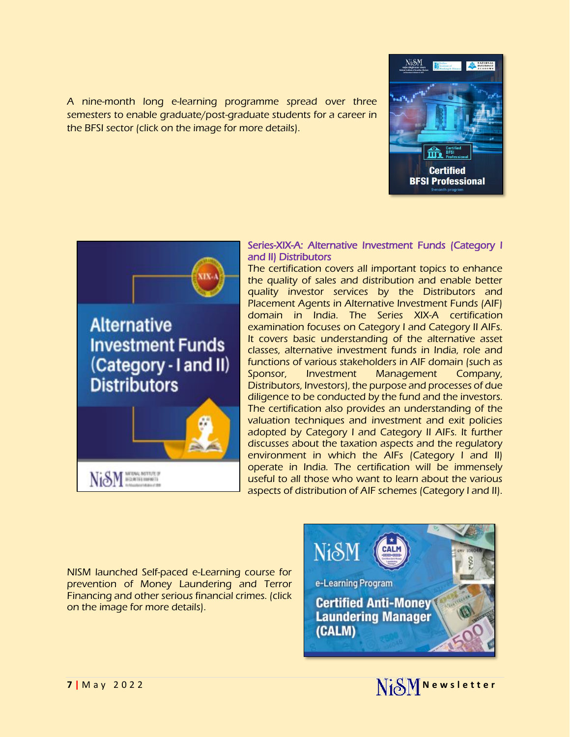A nine-month long e-learning programme spread over three semesters to enable graduate/post-graduate students for a career in the BFSI sector (click on the image for more details).





#### Series-XIX-A: Alternative Investment Funds (Category I and II) Distributors

The certification covers all important topics to enhance the quality of sales and distribution and enable better quality investor services by the Distributors and Placement Agents in Alternative Investment Funds (AIF) domain in India. The Series XIX-A certification examination focuses on Category I and Category II AIFs. It covers basic understanding of the alternative asset classes, alternative investment funds in India, role and functions of various stakeholders in AIF domain (such as Sponsor, Investment Management Company, Distributors, Investors), the purpose and processes of due diligence to be conducted by the fund and the investors. The certification also provides an understanding of the valuation techniques and investment and exit policies adopted by Category I and Category II AIFs. It further discusses about the taxation aspects and the regulatory environment in which the AIFs (Category I and II) operate in India. The certification will be immensely useful to all those who want to learn about the various aspects of distribution of AIF schemes (Category I and II).

NISM launched Self-paced e-Learning course for prevention of Money Laundering and Terror Financing and other serious financial crimes. (click on the image for more details).





NiSM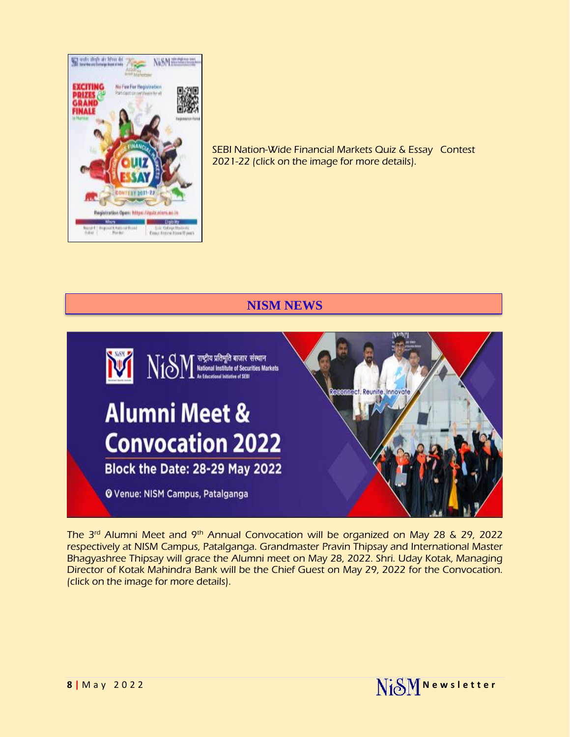

SEBI Nation-Wide Financial Markets Quiz & Essay Contest 2021-22 (click on the image for more details).

# **NISM NEWS**



The 3rd Alumni Meet and 9th Annual Convocation will be organized on May 28 & 29, 2022 respectively at NISM Campus, Patalganga. Grandmaster Pravin Thipsay and International Master Bhagyashree Thipsay will grace the Alumni meet on May 28, 2022. Shri. Uday Kotak, Managing Director of Kotak Mahindra Bank will be the Chief Guest on May 29, 2022 for the Convocation. (click on the image for more details).